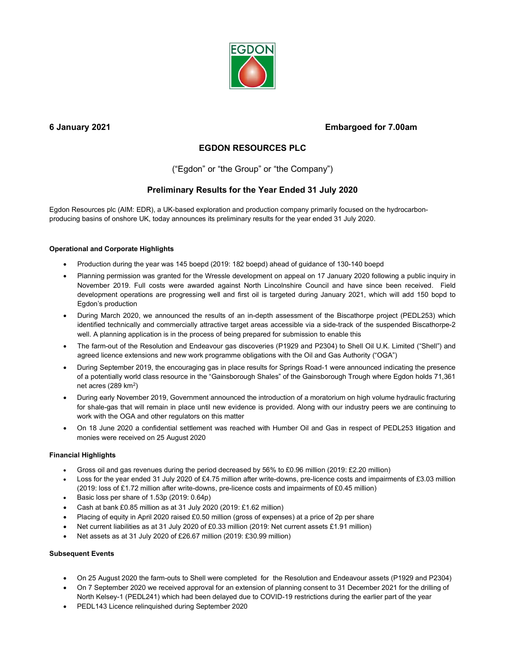

# 6 January 2021 Embargoed for 7.00am

# EGDON RESOURCES PLC

("Egdon" or "the Group" or "the Company")

# Preliminary Results for the Year Ended 31 July 2020

Egdon Resources plc (AIM: EDR), a UK-based exploration and production company primarily focused on the hydrocarbonproducing basins of onshore UK, today announces its preliminary results for the year ended 31 July 2020.

# Operational and Corporate Highlights

- Production during the year was 145 boepd (2019: 182 boepd) ahead of guidance of 130-140 boepd
- Planning permission was granted for the Wressle development on appeal on 17 January 2020 following a public inquiry in November 2019. Full costs were awarded against North Lincolnshire Council and have since been received. Field development operations are progressing well and first oil is targeted during January 2021, which will add 150 bopd to Egdon's production
- During March 2020, we announced the results of an in-depth assessment of the Biscathorpe project (PEDL253) which identified technically and commercially attractive target areas accessible via a side-track of the suspended Biscathorpe-2 well. A planning application is in the process of being prepared for submission to enable this
- The farm-out of the Resolution and Endeavour gas discoveries (P1929 and P2304) to Shell Oil U.K. Limited ("Shell") and agreed licence extensions and new work programme obligations with the Oil and Gas Authority ("OGA")
- During September 2019, the encouraging gas in place results for Springs Road-1 were announced indicating the presence of a potentially world class resource in the "Gainsborough Shales" of the Gainsborough Trough where Egdon holds 71,361 net acres (289 km<sup>2</sup>)
- During early November 2019, Government announced the introduction of a moratorium on high volume hydraulic fracturing for shale-gas that will remain in place until new evidence is provided. Along with our industry peers we are continuing to work with the OGA and other regulators on this matter
- On 18 June 2020 a confidential settlement was reached with Humber Oil and Gas in respect of PEDL253 litigation and monies were received on 25 August 2020

# Financial Highlights

- Gross oil and gas revenues during the period decreased by 56% to £0.96 million (2019: £2.20 million)
- Loss for the year ended 31 July 2020 of £4.75 million after write-downs, pre-licence costs and impairments of £3.03 million (2019: loss of £1.72 million after write-downs, pre-licence costs and impairments of £0.45 million)
- Basic loss per share of 1.53p (2019: 0.64p)
- Cash at bank £0.85 million as at 31 July 2020 (2019: £1.62 million)
- Placing of equity in April 2020 raised £0.50 million (gross of expenses) at a price of 2p per share
- Net current liabilities as at 31 July 2020 of £0.33 million (2019: Net current assets £1.91 million)
- Net assets as at 31 July 2020 of £26.67 million (2019: £30.99 million)

# Subsequent Events

- On 25 August 2020 the farm-outs to Shell were completed for the Resolution and Endeavour assets (P1929 and P2304)
- On 7 September 2020 we received approval for an extension of planning consent to 31 December 2021 for the drilling of North Kelsey-1 (PEDL241) which had been delayed due to COVID-19 restrictions during the earlier part of the year
- PEDL143 Licence relinquished during September 2020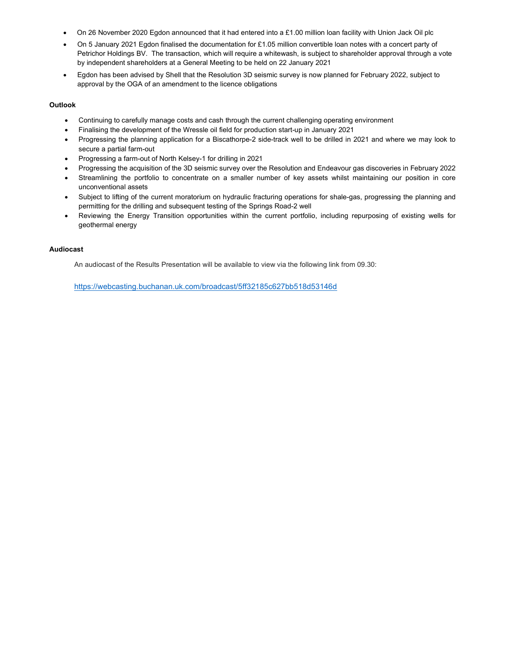- On 26 November 2020 Egdon announced that it had entered into a £1.00 million loan facility with Union Jack Oil plc
- On 5 January 2021 Egdon finalised the documentation for £1.05 million convertible loan notes with a concert party of Petrichor Holdings BV. The transaction, which will require a whitewash, is subject to shareholder approval through a vote by independent shareholders at a General Meeting to be held on 22 January 2021
- Egdon has been advised by Shell that the Resolution 3D seismic survey is now planned for February 2022, subject to approval by the OGA of an amendment to the licence obligations

# **Outlook**

- Continuing to carefully manage costs and cash through the current challenging operating environment
- Finalising the development of the Wressle oil field for production start-up in January 2021
- Progressing the planning application for a Biscathorpe-2 side-track well to be drilled in 2021 and where we may look to secure a partial farm-out
- Progressing a farm-out of North Kelsey-1 for drilling in 2021
- Progressing the acquisition of the 3D seismic survey over the Resolution and Endeavour gas discoveries in February 2022
- Streamlining the portfolio to concentrate on a smaller number of key assets whilst maintaining our position in core unconventional assets
- Subject to lifting of the current moratorium on hydraulic fracturing operations for shale-gas, progressing the planning and permitting for the drilling and subsequent testing of the Springs Road-2 well
- Reviewing the Energy Transition opportunities within the current portfolio, including repurposing of existing wells for geothermal energy

### Audiocast

An audiocast of the Results Presentation will be available to view via the following link from 09.30:

https://webcasting.buchanan.uk.com/broadcast/5ff32185c627bb518d53146d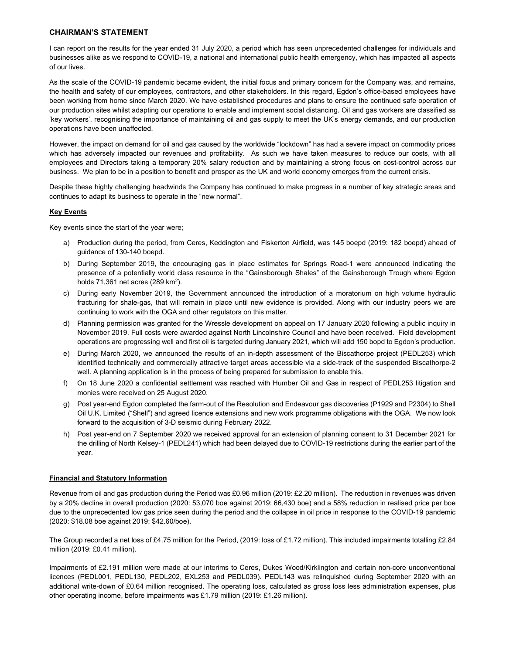# CHAIRMAN'S STATEMENT

I can report on the results for the year ended 31 July 2020, a period which has seen unprecedented challenges for individuals and businesses alike as we respond to COVID-19, a national and international public health emergency, which has impacted all aspects of our lives.

As the scale of the COVID-19 pandemic became evident, the initial focus and primary concern for the Company was, and remains, the health and safety of our employees, contractors, and other stakeholders. In this regard, Egdon's office-based employees have been working from home since March 2020. We have established procedures and plans to ensure the continued safe operation of our production sites whilst adapting our operations to enable and implement social distancing. Oil and gas workers are classified as 'key workers', recognising the importance of maintaining oil and gas supply to meet the UK's energy demands, and our production operations have been unaffected.

However, the impact on demand for oil and gas caused by the worldwide "lockdown" has had a severe impact on commodity prices which has adversely impacted our revenues and profitability. As such we have taken measures to reduce our costs, with all employees and Directors taking a temporary 20% salary reduction and by maintaining a strong focus on cost-control across our business. We plan to be in a position to benefit and prosper as the UK and world economy emerges from the current crisis.

Despite these highly challenging headwinds the Company has continued to make progress in a number of key strategic areas and continues to adapt its business to operate in the "new normal".

# **Key Events**

Key events since the start of the year were;

- a) Production during the period, from Ceres, Keddington and Fiskerton Airfield, was 145 boepd (2019: 182 boepd) ahead of guidance of 130-140 boepd.
- b) During September 2019, the encouraging gas in place estimates for Springs Road-1 were announced indicating the presence of a potentially world class resource in the "Gainsborough Shales" of the Gainsborough Trough where Egdon holds 71,361 net acres (289 km<sup>2</sup>).
- c) During early November 2019, the Government announced the introduction of a moratorium on high volume hydraulic fracturing for shale-gas, that will remain in place until new evidence is provided. Along with our industry peers we are continuing to work with the OGA and other regulators on this matter.
- d) Planning permission was granted for the Wressle development on appeal on 17 January 2020 following a public inquiry in November 2019. Full costs were awarded against North Lincolnshire Council and have been received. Field development operations are progressing well and first oil is targeted during January 2021, which will add 150 bopd to Egdon's production.
- e) During March 2020, we announced the results of an in-depth assessment of the Biscathorpe project (PEDL253) which identified technically and commercially attractive target areas accessible via a side-track of the suspended Biscathorpe-2 well. A planning application is in the process of being prepared for submission to enable this.
- f) On 18 June 2020 a confidential settlement was reached with Humber Oil and Gas in respect of PEDL253 litigation and monies were received on 25 August 2020.
- g) Post year-end Egdon completed the farm-out of the Resolution and Endeavour gas discoveries (P1929 and P2304) to Shell Oil U.K. Limited ("Shell") and agreed licence extensions and new work programme obligations with the OGA. We now look forward to the acquisition of 3-D seismic during February 2022.
- h) Post year-end on 7 September 2020 we received approval for an extension of planning consent to 31 December 2021 for the drilling of North Kelsey-1 (PEDL241) which had been delayed due to COVID-19 restrictions during the earlier part of the year.

### Financial and Statutory Information

Revenue from oil and gas production during the Period was £0.96 million (2019: £2.20 million). The reduction in revenues was driven by a 20% decline in overall production (2020: 53,070 boe against 2019: 66,430 boe) and a 58% reduction in realised price per boe due to the unprecedented low gas price seen during the period and the collapse in oil price in response to the COVID-19 pandemic (2020: \$18.08 boe against 2019: \$42.60/boe).

The Group recorded a net loss of £4.75 million for the Period, (2019: loss of £1.72 million). This included impairments totalling £2.84 million (2019: £0.41 million).

Impairments of £2.191 million were made at our interims to Ceres, Dukes Wood/Kirklington and certain non-core unconventional licences (PEDL001, PEDL130, PEDL202, EXL253 and PEDL039). PEDL143 was relinquished during September 2020 with an additional write-down of £0.64 million recognised. The operating loss, calculated as gross loss less administration expenses, plus other operating income, before impairments was £1.79 million (2019: £1.26 million).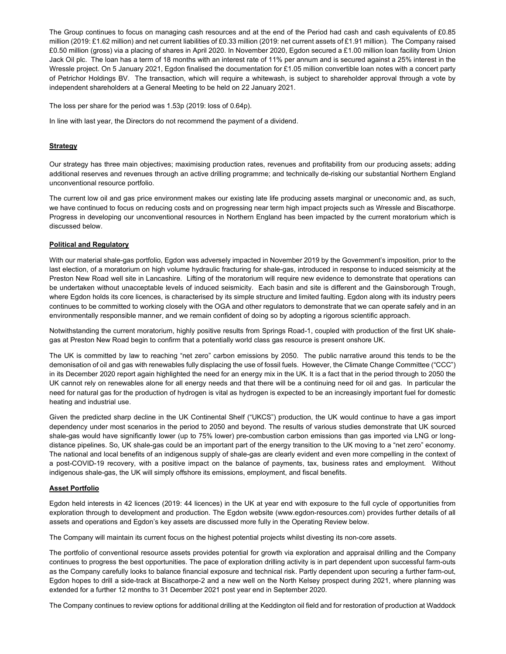The Group continues to focus on managing cash resources and at the end of the Period had cash and cash equivalents of £0.85 million (2019: £1.62 million) and net current liabilities of £0.33 million (2019: net current assets of £1.91 million). The Company raised £0.50 million (gross) via a placing of shares in April 2020. In November 2020, Egdon secured a £1.00 million loan facility from Union Jack Oil plc. The loan has a term of 18 months with an interest rate of 11% per annum and is secured against a 25% interest in the Wressle project. On 5 January 2021, Egdon finalised the documentation for £1.05 million convertible loan notes with a concert party of Petrichor Holdings BV. The transaction, which will require a whitewash, is subject to shareholder approval through a vote by independent shareholders at a General Meeting to be held on 22 January 2021.

The loss per share for the period was 1.53p (2019: loss of 0.64p).

In line with last year, the Directors do not recommend the payment of a dividend.

# **Strategy**

Our strategy has three main objectives; maximising production rates, revenues and profitability from our producing assets; adding additional reserves and revenues through an active drilling programme; and technically de-risking our substantial Northern England unconventional resource portfolio.

The current low oil and gas price environment makes our existing late life producing assets marginal or uneconomic and, as such, we have continued to focus on reducing costs and on progressing near term high impact projects such as Wressle and Biscathorpe. Progress in developing our unconventional resources in Northern England has been impacted by the current moratorium which is discussed below.

# Political and Regulatory

With our material shale-gas portfolio, Egdon was adversely impacted in November 2019 by the Government's imposition, prior to the last election, of a moratorium on high volume hydraulic fracturing for shale-gas, introduced in response to induced seismicity at the Preston New Road well site in Lancashire. Lifting of the moratorium will require new evidence to demonstrate that operations can be undertaken without unacceptable levels of induced seismicity. Each basin and site is different and the Gainsborough Trough, where Egdon holds its core licences, is characterised by its simple structure and limited faulting. Egdon along with its industry peers continues to be committed to working closely with the OGA and other regulators to demonstrate that we can operate safely and in an environmentally responsible manner, and we remain confident of doing so by adopting a rigorous scientific approach.

Notwithstanding the current moratorium, highly positive results from Springs Road-1, coupled with production of the first UK shalegas at Preston New Road begin to confirm that a potentially world class gas resource is present onshore UK.

The UK is committed by law to reaching "net zero" carbon emissions by 2050. The public narrative around this tends to be the demonisation of oil and gas with renewables fully displacing the use of fossil fuels. However, the Climate Change Committee ("CCC") in its December 2020 report again highlighted the need for an energy mix in the UK. It is a fact that in the period through to 2050 the UK cannot rely on renewables alone for all energy needs and that there will be a continuing need for oil and gas. In particular the need for natural gas for the production of hydrogen is vital as hydrogen is expected to be an increasingly important fuel for domestic heating and industrial use.

Given the predicted sharp decline in the UK Continental Shelf ("UKCS") production, the UK would continue to have a gas import dependency under most scenarios in the period to 2050 and beyond. The results of various studies demonstrate that UK sourced shale-gas would have significantly lower (up to 75% lower) pre-combustion carbon emissions than gas imported via LNG or longdistance pipelines. So, UK shale-gas could be an important part of the energy transition to the UK moving to a "net zero" economy. The national and local benefits of an indigenous supply of shale-gas are clearly evident and even more compelling in the context of a post-COVID-19 recovery, with a positive impact on the balance of payments, tax, business rates and employment. Without indigenous shale-gas, the UK will simply offshore its emissions, employment, and fiscal benefits.

# Asset Portfolio

Egdon held interests in 42 licences (2019: 44 licences) in the UK at year end with exposure to the full cycle of opportunities from exploration through to development and production. The Egdon website (www.egdon-resources.com) provides further details of all assets and operations and Egdon's key assets are discussed more fully in the Operating Review below.

The Company will maintain its current focus on the highest potential projects whilst divesting its non-core assets.

The portfolio of conventional resource assets provides potential for growth via exploration and appraisal drilling and the Company continues to progress the best opportunities. The pace of exploration drilling activity is in part dependent upon successful farm-outs as the Company carefully looks to balance financial exposure and technical risk. Partly dependent upon securing a further farm-out, Egdon hopes to drill a side-track at Biscathorpe-2 and a new well on the North Kelsey prospect during 2021, where planning was extended for a further 12 months to 31 December 2021 post year end in September 2020.

The Company continues to review options for additional drilling at the Keddington oil field and for restoration of production at Waddock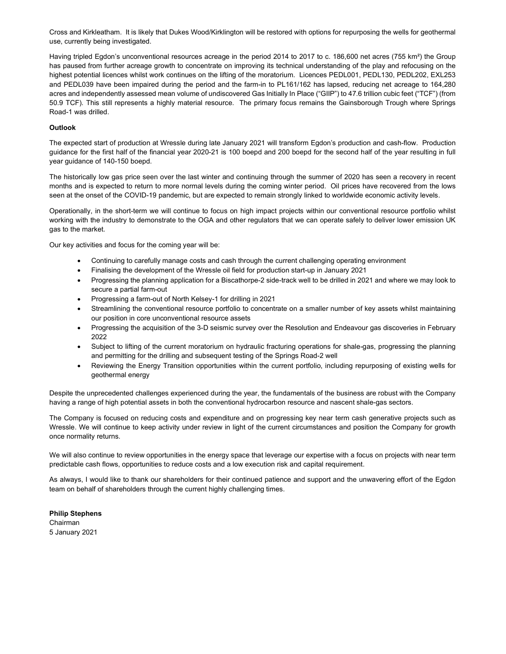Cross and Kirkleatham. It is likely that Dukes Wood/Kirklington will be restored with options for repurposing the wells for geothermal use, currently being investigated.

Having tripled Egdon's unconventional resources acreage in the period 2014 to 2017 to c. 186,600 net acres (755 km<sup>2</sup>) the Group has paused from further acreage growth to concentrate on improving its technical understanding of the play and refocusing on the highest potential licences whilst work continues on the lifting of the moratorium. Licences PEDL001, PEDL130, PEDL202, EXL253 and PEDL039 have been impaired during the period and the farm-in to PL161/162 has lapsed, reducing net acreage to 164,280 acres and independently assessed mean volume of undiscovered Gas Initially In Place ("GIIP") to 47.6 trillion cubic feet ("TCF") (from 50.9 TCF). This still represents a highly material resource. The primary focus remains the Gainsborough Trough where Springs Road-1 was drilled.

# **Outlook**

The expected start of production at Wressle during late January 2021 will transform Egdon's production and cash-flow. Production guidance for the first half of the financial year 2020-21 is 100 boepd and 200 boepd for the second half of the year resulting in full year guidance of 140-150 boepd.

The historically low gas price seen over the last winter and continuing through the summer of 2020 has seen a recovery in recent months and is expected to return to more normal levels during the coming winter period. Oil prices have recovered from the lows seen at the onset of the COVID-19 pandemic, but are expected to remain strongly linked to worldwide economic activity levels.

Operationally, in the short-term we will continue to focus on high impact projects within our conventional resource portfolio whilst working with the industry to demonstrate to the OGA and other regulators that we can operate safely to deliver lower emission UK gas to the market.

Our key activities and focus for the coming year will be:

- Continuing to carefully manage costs and cash through the current challenging operating environment
- Finalising the development of the Wressle oil field for production start-up in January 2021
- Progressing the planning application for a Biscathorpe-2 side-track well to be drilled in 2021 and where we may look to secure a partial farm-out
- Progressing a farm-out of North Kelsey-1 for drilling in 2021
- Streamlining the conventional resource portfolio to concentrate on a smaller number of key assets whilst maintaining our position in core unconventional resource assets
- Progressing the acquisition of the 3-D seismic survey over the Resolution and Endeavour gas discoveries in February 2022
- Subject to lifting of the current moratorium on hydraulic fracturing operations for shale-gas, progressing the planning and permitting for the drilling and subsequent testing of the Springs Road-2 well
- Reviewing the Energy Transition opportunities within the current portfolio, including repurposing of existing wells for geothermal energy

Despite the unprecedented challenges experienced during the year, the fundamentals of the business are robust with the Company having a range of high potential assets in both the conventional hydrocarbon resource and nascent shale-gas sectors.

The Company is focused on reducing costs and expenditure and on progressing key near term cash generative projects such as Wressle. We will continue to keep activity under review in light of the current circumstances and position the Company for growth once normality returns.

We will also continue to review opportunities in the energy space that leverage our expertise with a focus on projects with near term predictable cash flows, opportunities to reduce costs and a low execution risk and capital requirement.

As always, I would like to thank our shareholders for their continued patience and support and the unwavering effort of the Egdon team on behalf of shareholders through the current highly challenging times.

Philip Stephens Chairman 5 January 2021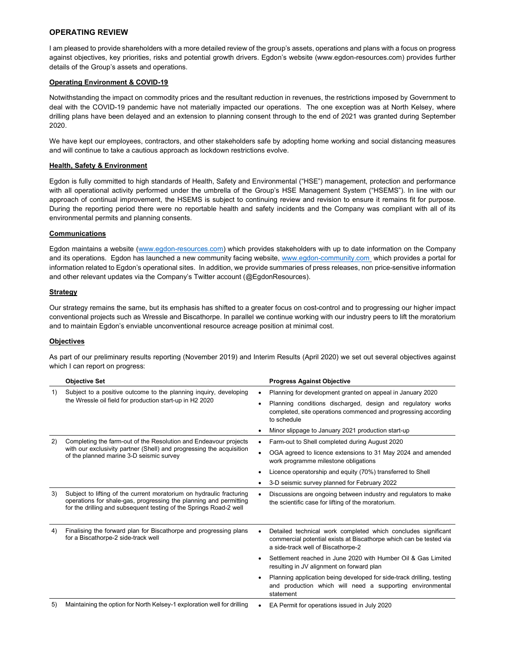# OPERATING REVIEW

I am pleased to provide shareholders with a more detailed review of the group's assets, operations and plans with a focus on progress against objectives, key priorities, risks and potential growth drivers. Egdon's website (www.egdon-resources.com) provides further details of the Group's assets and operations.

### Operating Environment & COVID-19

Notwithstanding the impact on commodity prices and the resultant reduction in revenues, the restrictions imposed by Government to deal with the COVID-19 pandemic have not materially impacted our operations. The one exception was at North Kelsey, where drilling plans have been delayed and an extension to planning consent through to the end of 2021 was granted during September 2020.

We have kept our employees, contractors, and other stakeholders safe by adopting home working and social distancing measures and will continue to take a cautious approach as lockdown restrictions evolve.

### Health, Safety & Environment

Egdon is fully committed to high standards of Health, Safety and Environmental ("HSE") management, protection and performance with all operational activity performed under the umbrella of the Group's HSE Management System ("HSEMS"). In line with our approach of continual improvement, the HSEMS is subject to continuing review and revision to ensure it remains fit for purpose. During the reporting period there were no reportable health and safety incidents and the Company was compliant with all of its environmental permits and planning consents.

# Communications

Egdon maintains a website (www.egdon-resources.com) which provides stakeholders with up to date information on the Company and its operations. Egdon has launched a new community facing website, www.egdon-community.com which provides a portal for information related to Egdon's operational sites. In addition, we provide summaries of press releases, non price-sensitive information and other relevant updates via the Company's Twitter account (@EgdonResources).

### **Strategy**

Our strategy remains the same, but its emphasis has shifted to a greater focus on cost-control and to progressing our higher impact conventional projects such as Wressle and Biscathorpe. In parallel we continue working with our industry peers to lift the moratorium and to maintain Egdon's enviable unconventional resource acreage position at minimal cost.

### **Objectives**

As part of our preliminary results reporting (November 2019) and Interim Results (April 2020) we set out several objectives against which I can report on progress:

|     | <b>Objective Set</b>                                                                                                                                                                                            |  | <b>Progress Against Objective</b>                                                                                                                                         |
|-----|-----------------------------------------------------------------------------------------------------------------------------------------------------------------------------------------------------------------|--|---------------------------------------------------------------------------------------------------------------------------------------------------------------------------|
| 1)  | Subject to a positive outcome to the planning inquiry, developing                                                                                                                                               |  | Planning for development granted on appeal in January 2020                                                                                                                |
|     | the Wressle oil field for production start-up in H2 2020                                                                                                                                                        |  | Planning conditions discharged, design and regulatory works<br>completed, site operations commenced and progressing according<br>to schedule                              |
|     |                                                                                                                                                                                                                 |  | Minor slippage to January 2021 production start-up                                                                                                                        |
| (2) | Completing the farm-out of the Resolution and Endeavour projects<br>with our exclusivity partner (Shell) and progressing the acquisition<br>of the planned marine 3-D seismic survey                            |  | Farm-out to Shell completed during August 2020                                                                                                                            |
|     |                                                                                                                                                                                                                 |  | OGA agreed to licence extensions to 31 May 2024 and amended<br>work programme milestone obligations                                                                       |
|     |                                                                                                                                                                                                                 |  | Licence operatorship and equity (70%) transferred to Shell                                                                                                                |
|     |                                                                                                                                                                                                                 |  | 3-D seismic survey planned for February 2022                                                                                                                              |
| 3)  | Subject to lifting of the current moratorium on hydraulic fracturing<br>operations for shale-gas, progressing the planning and permitting<br>for the drilling and subsequent testing of the Springs Road-2 well |  | Discussions are ongoing between industry and regulators to make<br>the scientific case for lifting of the moratorium.                                                     |
| 4)  | Finalising the forward plan for Biscathorpe and progressing plans<br>for a Biscathorpe-2 side-track well                                                                                                        |  | Detailed technical work completed which concludes significant<br>commercial potential exists at Biscathorpe which can be tested via<br>a side-track well of Biscathorpe-2 |
|     |                                                                                                                                                                                                                 |  | Settlement reached in June 2020 with Humber Oil & Gas Limited<br>resulting in JV alignment on forward plan                                                                |
|     |                                                                                                                                                                                                                 |  | Planning application being developed for side-track drilling, testing<br>and production which will need a supporting environmental<br>statement                           |
| 5)  | Maintaining the option for North Kelsey-1 exploration well for drilling                                                                                                                                         |  | EA Permit for operations issued in July 2020                                                                                                                              |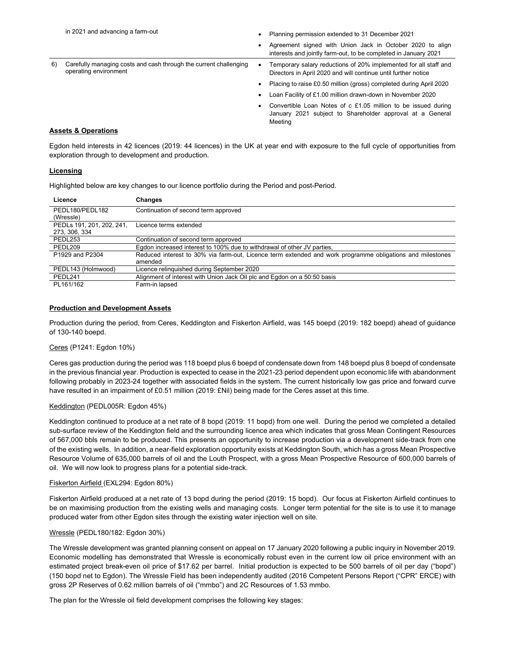|    | in 2021 and advancing a farm-out                                                           |   | Planning permission extended to 31 December 2021                                                                                      |  |  |
|----|--------------------------------------------------------------------------------------------|---|---------------------------------------------------------------------------------------------------------------------------------------|--|--|
|    |                                                                                            |   | Agreement signed with Union Jack in October 2020 to align<br>interests and jointly farm-out, to be completed in January 2021          |  |  |
| 6) | Carefully managing costs and cash through the current challenging<br>operating environment | ٠ | Temporary salary reductions of 20% implemented for all staff and<br>Directors in April 2020 and will continue until further notice    |  |  |
|    |                                                                                            |   | Placing to raise £0.50 million (gross) completed during April 2020                                                                    |  |  |
|    |                                                                                            |   | Loan Facility of £1.00 million drawn-down in November 2020                                                                            |  |  |
|    |                                                                                            |   | Convertible Loan Notes of c £1.05 million to be issued during<br>January 2021 subject to Shareholder approval at a General<br>Meetina |  |  |

# Assets & Operations

Egdon held interests in 42 licences (2019: 44 licences) in the UK at year end with exposure to the full cycle of opportunities from exploration through to development and production.

### Licensing

Highlighted below are key changes to our licence portfolio during the Period and post-Period.

| Licence                   | Changes                                                                                                   |
|---------------------------|-----------------------------------------------------------------------------------------------------------|
| PEDL180/PEDL182           | Continuation of second term approved                                                                      |
| (Wressle)                 |                                                                                                           |
| PEDLs 191, 201, 202, 241, | Licence terms extended                                                                                    |
| 273, 306, 334             |                                                                                                           |
| PEDL253                   | Continuation of second term approved                                                                      |
| PEDL209                   | Egdon increased interest to 100% due to withdrawal of other JV parties,                                   |
| P1929 and P2304           | Reduced interest to 30% via farm-out, Licence term extended and work programme obligations and milestones |
|                           | amended                                                                                                   |
| PEDL143 (Holmwood)        | Licence relinguished during September 2020                                                                |
| PEDL241                   | Alignment of interest with Union Jack Oil plc and Egdon on a 50:50 basis                                  |
| PL161/162                 | Farm-in lapsed                                                                                            |

# Production and Development Assets

Production during the period, from Ceres, Keddington and Fiskerton Airfield, was 145 boepd (2019: 182 boepd) ahead of guidance of 130-140 boepd.

#### Ceres (P1241: Egdon 10%)

Ceres gas production during the period was 118 boepd plus 6 boepd of condensate down from 148 boepd plus 8 boepd of condensate in the previous financial year. Production is expected to cease in the 2021-23 period dependent upon economic life with abandonment following probably in 2023-24 together with associated fields in the system. The current historically low gas price and forward curve have resulted in an impairment of £0.51 million (2019: £Nil) being made for the Ceres asset at this time.

#### Keddington (PEDL005R: Egdon 45%)

Keddington continued to produce at a net rate of 8 bopd (2019: 11 bopd) from one well. During the period we completed a detailed sub-surface review of the Keddington field and the surrounding licence area which indicates that gross Mean Contingent Resources of 567,000 bbls remain to be produced. This presents an opportunity to increase production via a development side-track from one of the existing wells. In addition, a near-field exploration opportunity exists at Keddington South, which has a gross Mean Prospective Resource Volume of 635,000 barrels of oil and the Louth Prospect, with a gross Mean Prospective Resource of 600,000 barrels of oil. We will now look to progress plans for a potential side-track.

### Fiskerton Airfield (EXL294: Egdon 80%)

Fiskerton Airfield produced at a net rate of 13 bopd during the period (2019: 15 bopd). Our focus at Fiskerton Airfield continues to be on maximising production from the existing wells and managing costs. Longer term potential for the site is to use it to manage produced water from other Egdon sites through the existing water injection well on site.

#### Wressle (PEDL180/182: Egdon 30%)

The Wressle development was granted planning consent on appeal on 17 January 2020 following a public inquiry in November 2019. Economic modelling has demonstrated that Wressle is economically robust even in the current low oil price environment with an estimated project break-even oil price of \$17.62 per barrel. Initial production is expected to be 500 barrels of oil per day ("bopd") (150 bopd net to Egdon). The Wressle Field has been independently audited (2016 Competent Persons Report ("CPR" ERCE) with gross 2P Reserves of 0.62 million barrels of oil ("mmbo") and 2C Resources of 1.53 mmbo.

The plan for the Wressle oil field development comprises the following key stages: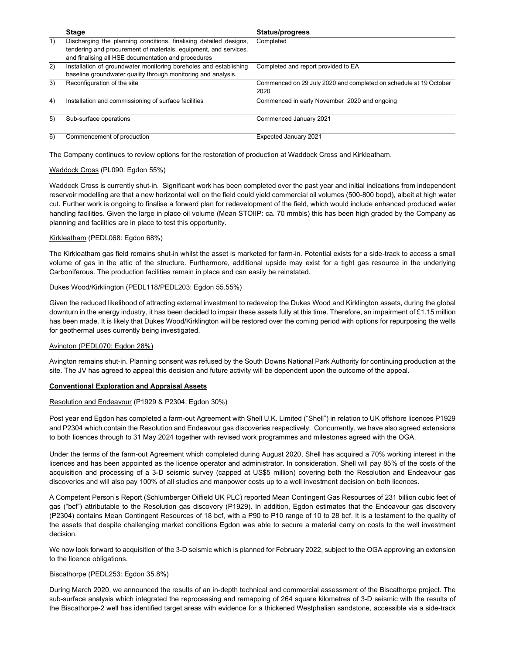|    | <b>Stage</b>                                                      | <b>Status/progress</b>                                            |
|----|-------------------------------------------------------------------|-------------------------------------------------------------------|
| 1) | Discharging the planning conditions, finalising detailed designs, | Completed                                                         |
|    | tendering and procurement of materials, equipment, and services,  |                                                                   |
|    | and finalising all HSE documentation and procedures               |                                                                   |
| 2) | Installation of groundwater monitoring boreholes and establishing | Completed and report provided to EA                               |
|    | baseline groundwater quality through monitoring and analysis.     |                                                                   |
| 3) | Reconfiguration of the site                                       | Commenced on 29 July 2020 and completed on schedule at 19 October |
|    |                                                                   | 2020                                                              |
| 4) | Installation and commissioning of surface facilities              | Commenced in early November 2020 and ongoing                      |
|    |                                                                   |                                                                   |
| 5) | Sub-surface operations                                            | Commenced January 2021                                            |
|    |                                                                   |                                                                   |
| 6) | Commencement of production                                        | Expected January 2021                                             |

The Company continues to review options for the restoration of production at Waddock Cross and Kirkleatham.

# Waddock Cross (PL090: Egdon 55%)

Waddock Cross is currently shut-in. Significant work has been completed over the past year and initial indications from independent reservoir modelling are that a new horizontal well on the field could yield commercial oil volumes (500-800 bopd), albeit at high water cut. Further work is ongoing to finalise a forward plan for redevelopment of the field, which would include enhanced produced water handling facilities. Given the large in place oil volume (Mean STOIIP: ca. 70 mmbls) this has been high graded by the Company as planning and facilities are in place to test this opportunity.

# Kirkleatham (PEDL068: Egdon 68%)

The Kirkleatham gas field remains shut-in whilst the asset is marketed for farm-in. Potential exists for a side-track to access a small volume of gas in the attic of the structure. Furthermore, additional upside may exist for a tight gas resource in the underlying Carboniferous. The production facilities remain in place and can easily be reinstated.

# Dukes Wood/Kirklington (PEDL118/PEDL203: Egdon 55.55%)

Given the reduced likelihood of attracting external investment to redevelop the Dukes Wood and Kirklington assets, during the global downturn in the energy industry, it has been decided to impair these assets fully at this time. Therefore, an impairment of £1.15 million has been made. It is likely that Dukes Wood/Kirklington will be restored over the coming period with options for repurposing the wells for geothermal uses currently being investigated.

# Avington (PEDL070: Egdon 28%)

Avington remains shut-in. Planning consent was refused by the South Downs National Park Authority for continuing production at the site. The JV has agreed to appeal this decision and future activity will be dependent upon the outcome of the appeal.

# Conventional Exploration and Appraisal Assets

# Resolution and Endeavour (P1929 & P2304: Egdon 30%)

Post year end Egdon has completed a farm-out Agreement with Shell U.K. Limited ("Shell") in relation to UK offshore licences P1929 and P2304 which contain the Resolution and Endeavour gas discoveries respectively. Concurrently, we have also agreed extensions to both licences through to 31 May 2024 together with revised work programmes and milestones agreed with the OGA.

Under the terms of the farm-out Agreement which completed during August 2020, Shell has acquired a 70% working interest in the licences and has been appointed as the licence operator and administrator. In consideration, Shell will pay 85% of the costs of the acquisition and processing of a 3-D seismic survey (capped at US\$5 million) covering both the Resolution and Endeavour gas discoveries and will also pay 100% of all studies and manpower costs up to a well investment decision on both licences.

A Competent Person's Report (Schlumberger Oilfield UK PLC) reported Mean Contingent Gas Resources of 231 billion cubic feet of gas ("bcf") attributable to the Resolution gas discovery (P1929). In addition, Egdon estimates that the Endeavour gas discovery (P2304) contains Mean Contingent Resources of 18 bcf, with a P90 to P10 range of 10 to 28 bcf. It is a testament to the quality of the assets that despite challenging market conditions Egdon was able to secure a material carry on costs to the well investment decision.

We now look forward to acquisition of the 3-D seismic which is planned for February 2022, subject to the OGA approving an extension to the licence obligations.

### Biscathorpe (PEDL253: Egdon 35.8%)

During March 2020, we announced the results of an in-depth technical and commercial assessment of the Biscathorpe project. The sub-surface analysis which integrated the reprocessing and remapping of 264 square kilometres of 3-D seismic with the results of the Biscathorpe-2 well has identified target areas with evidence for a thickened Westphalian sandstone, accessible via a side-track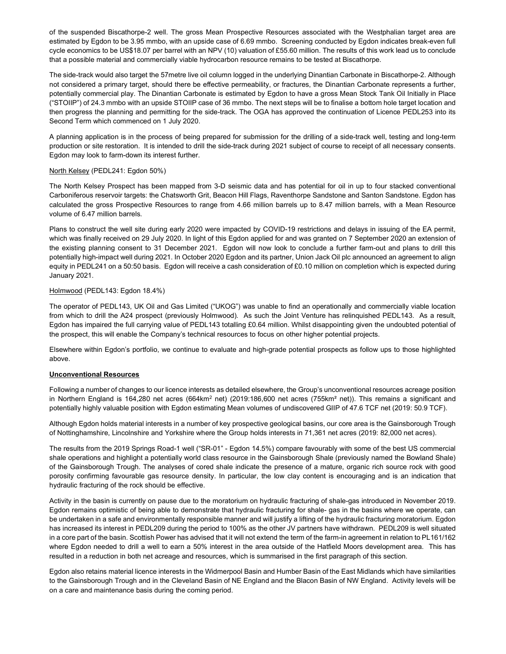of the suspended Biscathorpe-2 well. The gross Mean Prospective Resources associated with the Westphalian target area are estimated by Egdon to be 3.95 mmbo, with an upside case of 6.69 mmbo. Screening conducted by Egdon indicates break-even full cycle economics to be US\$18.07 per barrel with an NPV (10) valuation of £55.60 million. The results of this work lead us to conclude that a possible material and commercially viable hydrocarbon resource remains to be tested at Biscathorpe.

The side-track would also target the 57metre live oil column logged in the underlying Dinantian Carbonate in Biscathorpe-2. Although not considered a primary target, should there be effective permeability, or fractures, the Dinantian Carbonate represents a further, potentially commercial play. The Dinantian Carbonate is estimated by Egdon to have a gross Mean Stock Tank Oil Initially in Place ("STOIIP") of 24.3 mmbo with an upside STOIIP case of 36 mmbo. The next steps will be to finalise a bottom hole target location and then progress the planning and permitting for the side-track. The OGA has approved the continuation of Licence PEDL253 into its Second Term which commenced on 1 July 2020.

A planning application is in the process of being prepared for submission for the drilling of a side-track well, testing and long-term production or site restoration. It is intended to drill the side-track during 2021 subject of course to receipt of all necessary consents. Egdon may look to farm-down its interest further.

### North Kelsey (PEDL241: Egdon 50%)

The North Kelsey Prospect has been mapped from 3-D seismic data and has potential for oil in up to four stacked conventional Carboniferous reservoir targets: the Chatsworth Grit, Beacon Hill Flags, Raventhorpe Sandstone and Santon Sandstone. Egdon has calculated the gross Prospective Resources to range from 4.66 million barrels up to 8.47 million barrels, with a Mean Resource volume of 6.47 million barrels.

Plans to construct the well site during early 2020 were impacted by COVID-19 restrictions and delays in issuing of the EA permit, which was finally received on 29 July 2020. In light of this Egdon applied for and was granted on 7 September 2020 an extension of the existing planning consent to 31 December 2021. Egdon will now look to conclude a further farm-out and plans to drill this potentially high-impact well during 2021. In October 2020 Egdon and its partner, Union Jack Oil plc announced an agreement to align equity in PEDL241 on a 50:50 basis. Egdon will receive a cash consideration of £0.10 million on completion which is expected during January 2021.

### Holmwood (PEDL143: Egdon 18.4%)

The operator of PEDL143, UK Oil and Gas Limited ("UKOG") was unable to find an operationally and commercially viable location from which to drill the A24 prospect (previously Holmwood). As such the Joint Venture has relinquished PEDL143. As a result, Egdon has impaired the full carrying value of PEDL143 totalling £0.64 million. Whilst disappointing given the undoubted potential of the prospect, this will enable the Company's technical resources to focus on other higher potential projects.

Elsewhere within Egdon's portfolio, we continue to evaluate and high-grade potential prospects as follow ups to those highlighted above.

#### Unconventional Resources

Following a number of changes to our licence interests as detailed elsewhere, the Group's unconventional resources acreage position in Northern England is 164,280 net acres (664km<sup>2</sup> net) (2019:186,600 net acres (755km<sup>2</sup> net)). This remains a significant and potentially highly valuable position with Egdon estimating Mean volumes of undiscovered GIIP of 47.6 TCF net (2019: 50.9 TCF).

Although Egdon holds material interests in a number of key prospective geological basins, our core area is the Gainsborough Trough of Nottinghamshire, Lincolnshire and Yorkshire where the Group holds interests in 71,361 net acres (2019: 82,000 net acres).

The results from the 2019 Springs Road-1 well ("SR-01" - Egdon 14.5%) compare favourably with some of the best US commercial shale operations and highlight a potentially world class resource in the Gainsborough Shale (previously named the Bowland Shale) of the Gainsborough Trough. The analyses of cored shale indicate the presence of a mature, organic rich source rock with good porosity confirming favourable gas resource density. In particular, the low clay content is encouraging and is an indication that hydraulic fracturing of the rock should be effective.

Activity in the basin is currently on pause due to the moratorium on hydraulic fracturing of shale-gas introduced in November 2019. Egdon remains optimistic of being able to demonstrate that hydraulic fracturing for shale- gas in the basins where we operate, can be undertaken in a safe and environmentally responsible manner and will justify a lifting of the hydraulic fracturing moratorium. Egdon has increased its interest in PEDL209 during the period to 100% as the other JV partners have withdrawn. PEDL209 is well situated in a core part of the basin. Scottish Power has advised that it will not extend the term of the farm-in agreement in relation to PL161/162 where Egdon needed to drill a well to earn a 50% interest in the area outside of the Hatfield Moors development area. This has resulted in a reduction in both net acreage and resources, which is summarised in the first paragraph of this section.

Egdon also retains material licence interests in the Widmerpool Basin and Humber Basin of the East Midlands which have similarities to the Gainsborough Trough and in the Cleveland Basin of NE England and the Blacon Basin of NW England. Activity levels will be on a care and maintenance basis during the coming period.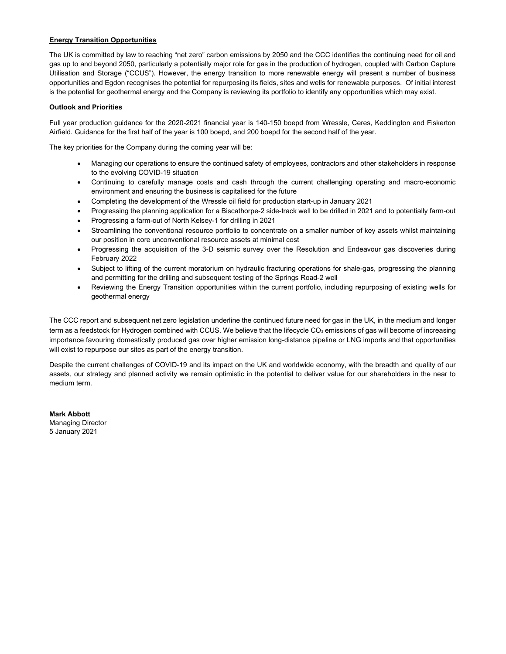# Energy Transition Opportunities

The UK is committed by law to reaching "net zero" carbon emissions by 2050 and the CCC identifies the continuing need for oil and gas up to and beyond 2050, particularly a potentially major role for gas in the production of hydrogen, coupled with Carbon Capture Utilisation and Storage ("CCUS"). However, the energy transition to more renewable energy will present a number of business opportunities and Egdon recognises the potential for repurposing its fields, sites and wells for renewable purposes. Of initial interest is the potential for geothermal energy and the Company is reviewing its portfolio to identify any opportunities which may exist.

# Outlook and Priorities

Full year production guidance for the 2020-2021 financial year is 140-150 boepd from Wressle, Ceres, Keddington and Fiskerton Airfield. Guidance for the first half of the year is 100 boepd, and 200 boepd for the second half of the year.

The key priorities for the Company during the coming year will be:

- Managing our operations to ensure the continued safety of employees, contractors and other stakeholders in response to the evolving COVID-19 situation
- Continuing to carefully manage costs and cash through the current challenging operating and macro-economic environment and ensuring the business is capitalised for the future
- Completing the development of the Wressle oil field for production start-up in January 2021
- Progressing the planning application for a Biscathorpe-2 side-track well to be drilled in 2021 and to potentially farm-out
- Progressing a farm-out of North Kelsey-1 for drilling in 2021
- Streamlining the conventional resource portfolio to concentrate on a smaller number of key assets whilst maintaining our position in core unconventional resource assets at minimal cost
- Progressing the acquisition of the 3-D seismic survey over the Resolution and Endeavour gas discoveries during February 2022
- Subject to lifting of the current moratorium on hydraulic fracturing operations for shale-gas, progressing the planning and permitting for the drilling and subsequent testing of the Springs Road-2 well
- Reviewing the Energy Transition opportunities within the current portfolio, including repurposing of existing wells for geothermal energy

The CCC report and subsequent net zero legislation underline the continued future need for gas in the UK, in the medium and longer term as a feedstock for Hydrogen combined with CCUS. We believe that the lifecycle CO<sub>2</sub> emissions of gas will become of increasing importance favouring domestically produced gas over higher emission long-distance pipeline or LNG imports and that opportunities will exist to repurpose our sites as part of the energy transition.

Despite the current challenges of COVID-19 and its impact on the UK and worldwide economy, with the breadth and quality of our assets, our strategy and planned activity we remain optimistic in the potential to deliver value for our shareholders in the near to medium term.

Mark Abbott Managing Director 5 January 2021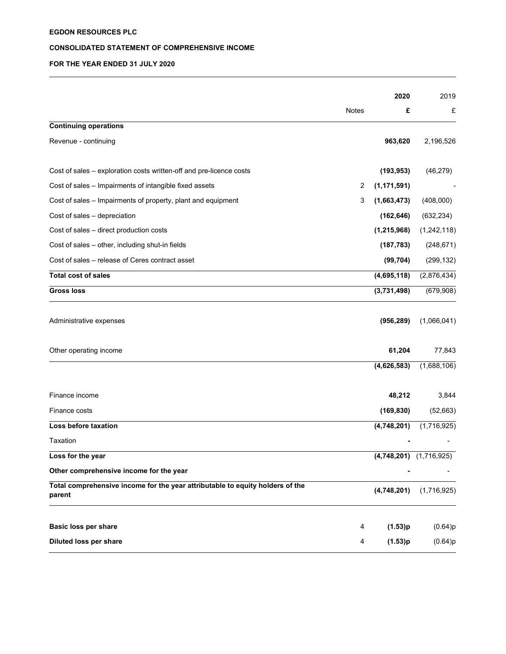# CONSOLIDATED STATEMENT OF COMPREHENSIVE INCOME

# FOR THE YEAR ENDED 31 JULY 2020

|                                                                                         |       | 2020          | 2019                        |
|-----------------------------------------------------------------------------------------|-------|---------------|-----------------------------|
|                                                                                         | Notes | £             | £                           |
| <b>Continuing operations</b>                                                            |       |               |                             |
| Revenue - continuing                                                                    |       | 963,620       | 2,196,526                   |
| Cost of sales – exploration costs written-off and pre-licence costs                     |       | (193, 953)    | (46, 279)                   |
| Cost of sales - Impairments of intangible fixed assets                                  | 2     | (1, 171, 591) |                             |
| Cost of sales - Impairments of property, plant and equipment                            | 3     | (1,663,473)   | (408,000)                   |
| Cost of sales - depreciation                                                            |       | (162, 646)    | (632, 234)                  |
| Cost of sales - direct production costs                                                 |       | (1, 215, 968) | (1,242,118)                 |
| Cost of sales - other, including shut-in fields                                         |       | (187, 783)    | (248, 671)                  |
| Cost of sales – release of Ceres contract asset                                         |       | (99, 704)     | (299, 132)                  |
| <b>Total cost of sales</b>                                                              |       | (4,695,118)   | (2,876,434)                 |
| <b>Gross loss</b>                                                                       |       | (3,731,498)   | (679,908)                   |
| Administrative expenses                                                                 |       | (956, 289)    | (1,066,041)                 |
| Other operating income                                                                  |       | 61,204        | 77,843                      |
|                                                                                         |       | (4,626,583)   | (1,688,106)                 |
| Finance income                                                                          |       | 48,212        | 3,844                       |
| Finance costs                                                                           |       | (169, 830)    | (52,663)                    |
| Loss before taxation                                                                    |       | (4,748,201)   | (1,716,925)                 |
| Taxation                                                                                |       |               |                             |
| Loss for the year                                                                       |       |               | $(4,748,201)$ $(1,716,925)$ |
| Other comprehensive income for the year                                                 |       |               |                             |
| Total comprehensive income for the year attributable to equity holders of the<br>parent |       | (4,748,201)   | (1,716,925)                 |
| Basic loss per share                                                                    | 4     | (1.53)p       | (0.64)p                     |
| Diluted loss per share                                                                  | 4     | (1.53)p       | (0.64)p                     |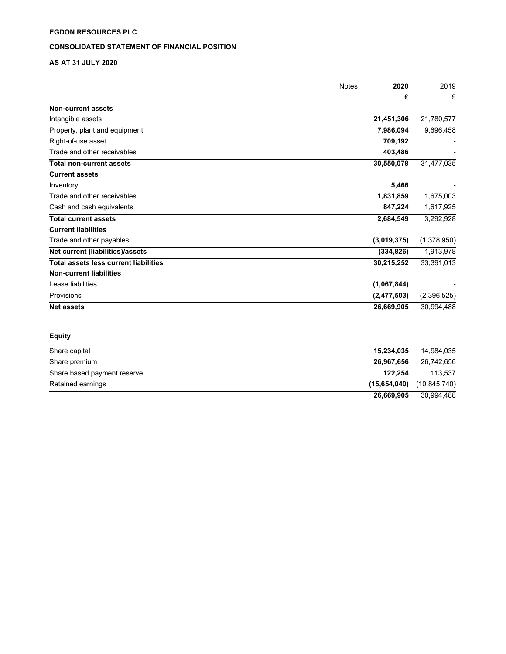# CONSOLIDATED STATEMENT OF FINANCIAL POSITION

# AS AT 31 JULY 2020

|                                              | 2020<br><b>Notes</b> | 2019           |
|----------------------------------------------|----------------------|----------------|
|                                              |                      | £<br>£         |
| <b>Non-current assets</b>                    |                      |                |
| Intangible assets                            | 21,451,306           | 21,780,577     |
| Property, plant and equipment                | 7,986,094            | 9,696,458      |
| Right-of-use asset                           | 709,192              |                |
| Trade and other receivables                  | 403,486              |                |
| <b>Total non-current assets</b>              | 30,550,078           | 31,477,035     |
| <b>Current assets</b>                        |                      |                |
| Inventory                                    | 5,466                |                |
| Trade and other receivables                  | 1,831,859            | 1,675,003      |
| Cash and cash equivalents                    | 847,224              | 1,617,925      |
| <b>Total current assets</b>                  | 2,684,549            | 3,292,928      |
| <b>Current liabilities</b>                   |                      |                |
| Trade and other payables                     | (3,019,375)          | (1,378,950)    |
| Net current (liabilities)/assets             | (334, 826)           | 1,913,978      |
| <b>Total assets less current liabilities</b> | 30,215,252           | 33,391,013     |
| <b>Non-current liabilities</b>               |                      |                |
| Lease liabilities                            | (1,067,844)          |                |
| Provisions                                   | (2, 477, 503)        | (2,396,525)    |
| <b>Net assets</b>                            | 26,669,905           | 30,994,488     |
| <b>Equity</b>                                |                      |                |
| Share capital                                | 15,234,035           | 14,984,035     |
| Share premium                                | 26,967,656           | 26,742,656     |
| Share based payment reserve                  | 122,254              | 113,537        |
| Retained earnings                            | (15,654,040)         | (10, 845, 740) |
|                                              | 26,669,905           | 30,994,488     |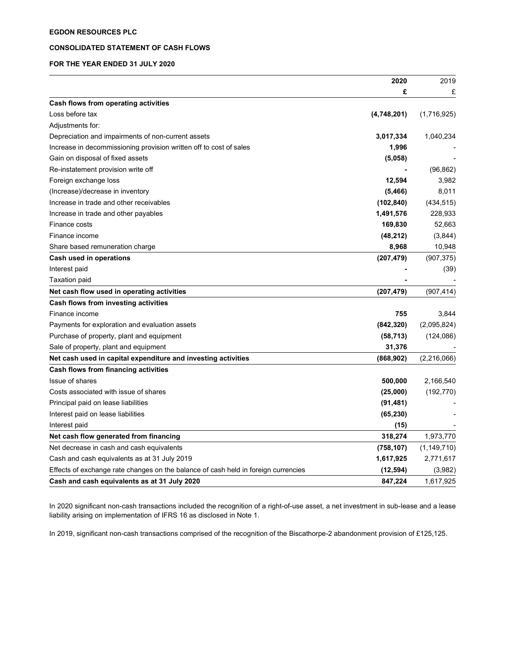# CONSOLIDATED STATEMENT OF CASH FLOWS

# FOR THE YEAR ENDED 31 JULY 2020

|                                                                                    | 2020        | 2019          |
|------------------------------------------------------------------------------------|-------------|---------------|
|                                                                                    | £           | £             |
| Cash flows from operating activities                                               |             |               |
| Loss before tax                                                                    | (4,748,201) | (1,716,925)   |
| Adjustments for:                                                                   |             |               |
| Depreciation and impairments of non-current assets                                 | 3,017,334   | 1,040,234     |
| Increase in decommissioning provision written off to cost of sales                 | 1,996       |               |
| Gain on disposal of fixed assets                                                   | (5,058)     |               |
| Re-instatement provision write off                                                 |             | (96, 862)     |
| Foreign exchange loss                                                              | 12,594      | 3,982         |
| (Increase)/decrease in inventory                                                   | (5, 466)    | 8,011         |
| Increase in trade and other receivables                                            | (102, 840)  | (434, 515)    |
| Increase in trade and other payables                                               | 1,491,576   | 228,933       |
| Finance costs                                                                      | 169,830     | 52,663        |
| Finance income                                                                     | (48, 212)   | (3,844)       |
| Share based remuneration charge                                                    | 8,968       | 10,948        |
| Cash used in operations                                                            | (207, 479)  | (907, 375)    |
| Interest paid                                                                      |             | (39)          |
| Taxation paid                                                                      |             |               |
| Net cash flow used in operating activities                                         | (207, 479)  | (907, 414)    |
| Cash flows from investing activities                                               |             |               |
| Finance income                                                                     | 755         | 3,844         |
| Payments for exploration and evaluation assets                                     | (842, 320)  | (2,095,824)   |
| Purchase of property, plant and equipment                                          | (58, 713)   | (124, 086)    |
| Sale of property, plant and equipment                                              | 31,376      |               |
| Net cash used in capital expenditure and investing activities                      | (868, 902)  | (2,216,066)   |
| Cash flows from financing activities                                               |             |               |
| Issue of shares                                                                    | 500,000     | 2,166,540     |
| Costs associated with issue of shares                                              | (25,000)    | (192, 770)    |
| Principal paid on lease liabilities                                                | (91, 481)   |               |
| Interest paid on lease liabilities                                                 | (65, 230)   |               |
| Interest paid                                                                      | (15)        |               |
| Net cash flow generated from financing                                             | 318,274     | 1,973,770     |
| Net decrease in cash and cash equivalents                                          | (758, 107)  | (1, 149, 710) |
| Cash and cash equivalents as at 31 July 2019                                       | 1,617,925   | 2,771,617     |
| Effects of exchange rate changes on the balance of cash held in foreign currencies | (12, 594)   | (3,982)       |
| Cash and cash equivalents as at 31 July 2020                                       | 847,224     | 1,617,925     |

In 2020 significant non-cash transactions included the recognition of a right-of-use asset, a net investment in sub-lease and a lease liability arising on implementation of IFRS 16 as disclosed in Note 1.

In 2019, significant non-cash transactions comprised of the recognition of the Biscathorpe-2 abandonment provision of £125,125.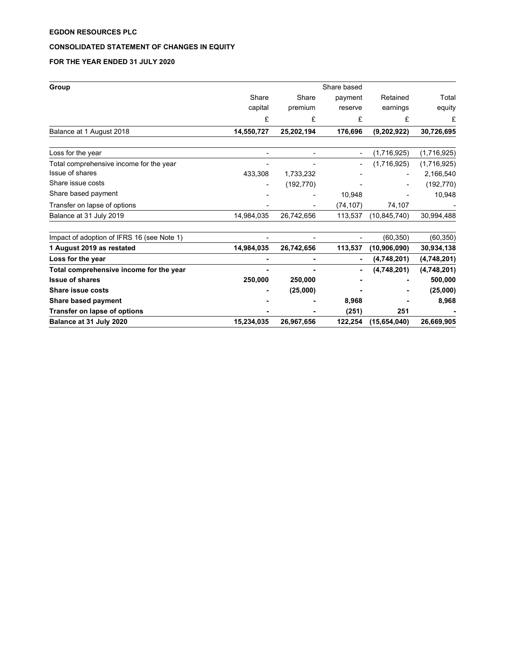# CONSOLIDATED STATEMENT OF CHANGES IN EQUITY

# FOR THE YEAR ENDED 31 JULY 2020

| Group                                      | Share based |                              |           |                |             |  |
|--------------------------------------------|-------------|------------------------------|-----------|----------------|-------------|--|
|                                            | Share       | Share                        | payment   | Retained       | Total       |  |
|                                            | capital     | premium                      | reserve   | earnings       | equity      |  |
|                                            | £           | £                            | £         | £              | £           |  |
| Balance at 1 August 2018                   | 14,550,727  | 25,202,194                   | 176,696   | (9,202,922)    | 30,726,695  |  |
| Loss for the year                          |             | $\qquad \qquad \blacksquare$ |           | (1,716,925)    | (1,716,925) |  |
| Total comprehensive income for the year    |             |                              |           | (1,716,925)    | (1,716,925) |  |
| Issue of shares                            | 433,308     | 1,733,232                    |           |                | 2,166,540   |  |
| Share issue costs                          |             | (192, 770)                   |           |                | (192, 770)  |  |
| Share based payment                        |             |                              | 10,948    |                | 10,948      |  |
| Transfer on lapse of options               |             | -                            | (74, 107) | 74,107         |             |  |
| Balance at 31 July 2019                    | 14,984,035  | 26,742,656                   | 113,537   | (10, 845, 740) | 30,994,488  |  |
| Impact of adoption of IFRS 16 (see Note 1) |             |                              |           | (60, 350)      | (60, 350)   |  |
| 1 August 2019 as restated                  | 14,984,035  | 26,742,656                   | 113,537   | (10, 906, 090) | 30,934,138  |  |
| Loss for the year                          |             |                              |           | (4,748,201)    | (4,748,201) |  |
| Total comprehensive income for the year    |             |                              |           | (4,748,201)    | (4,748,201) |  |
| <b>Issue of shares</b>                     | 250,000     | 250,000                      |           |                | 500,000     |  |
| <b>Share issue costs</b>                   |             | (25,000)                     |           |                | (25,000)    |  |
| Share based payment                        |             |                              | 8,968     |                | 8,968       |  |
| <b>Transfer on lapse of options</b>        |             |                              | (251)     | 251            |             |  |
| Balance at 31 July 2020                    | 15,234,035  | 26,967,656                   | 122,254   | (15,654,040)   | 26,669,905  |  |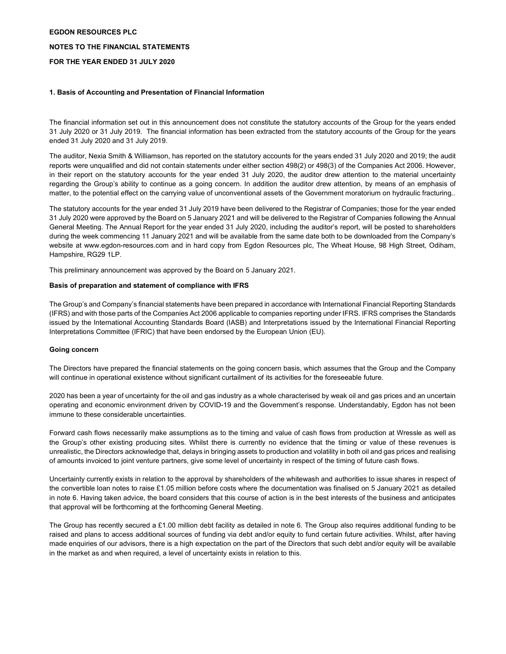# NOTES TO THE FINANCIAL STATEMENTS

# FOR THE YEAR ENDED 31 JULY 2020

# 1. Basis of Accounting and Presentation of Financial Information

The financial information set out in this announcement does not constitute the statutory accounts of the Group for the years ended 31 July 2020 or 31 July 2019. The financial information has been extracted from the statutory accounts of the Group for the years ended 31 July 2020 and 31 July 2019.

The auditor, Nexia Smith & Williamson, has reported on the statutory accounts for the years ended 31 July 2020 and 2019; the audit reports were unqualified and did not contain statements under either section 498(2) or 498(3) of the Companies Act 2006. However, in their report on the statutory accounts for the year ended 31 July 2020, the auditor drew attention to the material uncertainty regarding the Group's ability to continue as a going concern. In addition the auditor drew attention, by means of an emphasis of matter, to the potential effect on the carrying value of unconventional assets of the Government moratorium on hydraulic fracturing..

The statutory accounts for the year ended 31 July 2019 have been delivered to the Registrar of Companies; those for the year ended 31 July 2020 were approved by the Board on 5 January 2021 and will be delivered to the Registrar of Companies following the Annual General Meeting. The Annual Report for the year ended 31 July 2020, including the auditor's report, will be posted to shareholders during the week commencing 11 January 2021 and will be available from the same date both to be downloaded from the Company's website at www.egdon-resources.com and in hard copy from Egdon Resources plc, The Wheat House, 98 High Street, Odiham, Hampshire, RG29 1LP.

This preliminary announcement was approved by the Board on 5 January 2021.

# Basis of preparation and statement of compliance with IFRS

The Group's and Company's financial statements have been prepared in accordance with International Financial Reporting Standards (IFRS) and with those parts of the Companies Act 2006 applicable to companies reporting under IFRS. IFRS comprises the Standards issued by the International Accounting Standards Board (IASB) and Interpretations issued by the International Financial Reporting Interpretations Committee (IFRIC) that have been endorsed by the European Union (EU).

### Going concern

The Directors have prepared the financial statements on the going concern basis, which assumes that the Group and the Company will continue in operational existence without significant curtailment of its activities for the foreseeable future.

2020 has been a year of uncertainty for the oil and gas industry as a whole characterised by weak oil and gas prices and an uncertain operating and economic environment driven by COVID-19 and the Government's response. Understandably, Egdon has not been immune to these considerable uncertainties.

Forward cash flows necessarily make assumptions as to the timing and value of cash flows from production at Wressle as well as the Group's other existing producing sites. Whilst there is currently no evidence that the timing or value of these revenues is unrealistic, the Directors acknowledge that, delays in bringing assets to production and volatility in both oil and gas prices and realising of amounts invoiced to joint venture partners, give some level of uncertainty in respect of the timing of future cash flows.

Uncertainty currently exists in relation to the approval by shareholders of the whitewash and authorities to issue shares in respect of the convertible loan notes to raise £1.05 million before costs where the documentation was finalised on 5 January 2021 as detailed in note 6. Having taken advice, the board considers that this course of action is in the best interests of the business and anticipates that approval will be forthcoming at the forthcoming General Meeting.

The Group has recently secured a £1.00 million debt facility as detailed in note 6. The Group also requires additional funding to be raised and plans to access additional sources of funding via debt and/or equity to fund certain future activities. Whilst, after having made enquiries of our advisors, there is a high expectation on the part of the Directors that such debt and/or equity will be available in the market as and when required, a level of uncertainty exists in relation to this.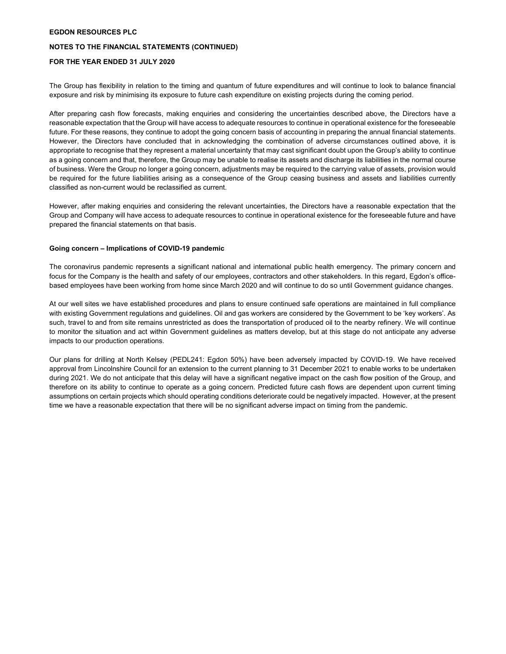### NOTES TO THE FINANCIAL STATEMENTS (CONTINUED)

# FOR THE YEAR ENDED 31 JULY 2020

The Group has flexibility in relation to the timing and quantum of future expenditures and will continue to look to balance financial exposure and risk by minimising its exposure to future cash expenditure on existing projects during the coming period.

After preparing cash flow forecasts, making enquiries and considering the uncertainties described above, the Directors have a reasonable expectation that the Group will have access to adequate resources to continue in operational existence for the foreseeable future. For these reasons, they continue to adopt the going concern basis of accounting in preparing the annual financial statements. However, the Directors have concluded that in acknowledging the combination of adverse circumstances outlined above, it is appropriate to recognise that they represent a material uncertainty that may cast significant doubt upon the Group's ability to continue as a going concern and that, therefore, the Group may be unable to realise its assets and discharge its liabilities in the normal course of business. Were the Group no longer a going concern, adjustments may be required to the carrying value of assets, provision would be required for the future liabilities arising as a consequence of the Group ceasing business and assets and liabilities currently classified as non-current would be reclassified as current.

However, after making enquiries and considering the relevant uncertainties, the Directors have a reasonable expectation that the Group and Company will have access to adequate resources to continue in operational existence for the foreseeable future and have prepared the financial statements on that basis.

#### Going concern – Implications of COVID-19 pandemic

The coronavirus pandemic represents a significant national and international public health emergency. The primary concern and focus for the Company is the health and safety of our employees, contractors and other stakeholders. In this regard, Egdon's officebased employees have been working from home since March 2020 and will continue to do so until Government guidance changes.

At our well sites we have established procedures and plans to ensure continued safe operations are maintained in full compliance with existing Government regulations and guidelines. Oil and gas workers are considered by the Government to be 'key workers'. As such, travel to and from site remains unrestricted as does the transportation of produced oil to the nearby refinery. We will continue to monitor the situation and act within Government guidelines as matters develop, but at this stage do not anticipate any adverse impacts to our production operations.

Our plans for drilling at North Kelsey (PEDL241: Egdon 50%) have been adversely impacted by COVID-19. We have received approval from Lincolnshire Council for an extension to the current planning to 31 December 2021 to enable works to be undertaken during 2021. We do not anticipate that this delay will have a significant negative impact on the cash flow position of the Group, and therefore on its ability to continue to operate as a going concern. Predicted future cash flows are dependent upon current timing assumptions on certain projects which should operating conditions deteriorate could be negatively impacted. However, at the present time we have a reasonable expectation that there will be no significant adverse impact on timing from the pandemic.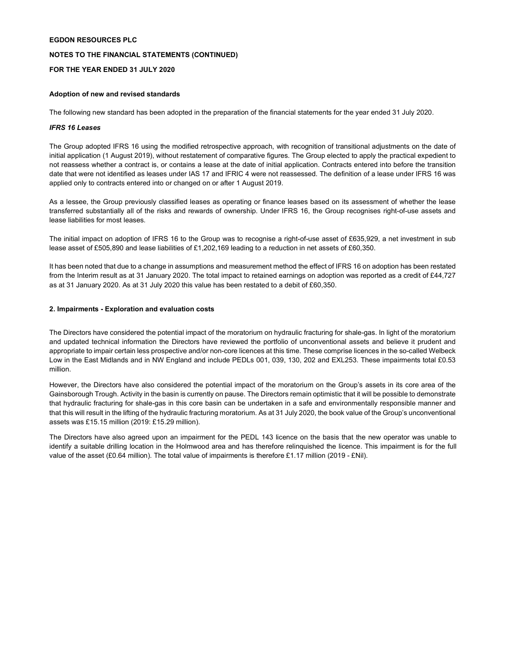# NOTES TO THE FINANCIAL STATEMENTS (CONTINUED)

# FOR THE YEAR ENDED 31 JULY 2020

# Adoption of new and revised standards

The following new standard has been adopted in the preparation of the financial statements for the year ended 31 July 2020.

### IFRS 16 Leases

The Group adopted IFRS 16 using the modified retrospective approach, with recognition of transitional adjustments on the date of initial application (1 August 2019), without restatement of comparative figures. The Group elected to apply the practical expedient to not reassess whether a contract is, or contains a lease at the date of initial application. Contracts entered into before the transition date that were not identified as leases under IAS 17 and IFRIC 4 were not reassessed. The definition of a lease under IFRS 16 was applied only to contracts entered into or changed on or after 1 August 2019.

As a lessee, the Group previously classified leases as operating or finance leases based on its assessment of whether the lease transferred substantially all of the risks and rewards of ownership. Under IFRS 16, the Group recognises right-of-use assets and lease liabilities for most leases.

The initial impact on adoption of IFRS 16 to the Group was to recognise a right-of-use asset of £635,929, a net investment in sub lease asset of £505,890 and lease liabilities of £1,202,169 leading to a reduction in net assets of £60,350.

It has been noted that due to a change in assumptions and measurement method the effect of IFRS 16 on adoption has been restated from the Interim result as at 31 January 2020. The total impact to retained earnings on adoption was reported as a credit of £44,727 as at 31 January 2020. As at 31 July 2020 this value has been restated to a debit of £60,350.

### 2. Impairments - Exploration and evaluation costs

The Directors have considered the potential impact of the moratorium on hydraulic fracturing for shale-gas. In light of the moratorium and updated technical information the Directors have reviewed the portfolio of unconventional assets and believe it prudent and appropriate to impair certain less prospective and/or non-core licences at this time. These comprise licences in the so-called Welbeck Low in the East Midlands and in NW England and include PEDLs 001, 039, 130, 202 and EXL253. These impairments total £0.53 million.

However, the Directors have also considered the potential impact of the moratorium on the Group's assets in its core area of the Gainsborough Trough. Activity in the basin is currently on pause. The Directors remain optimistic that it will be possible to demonstrate that hydraulic fracturing for shale-gas in this core basin can be undertaken in a safe and environmentally responsible manner and that this will result in the lifting of the hydraulic fracturing moratorium. As at 31 July 2020, the book value of the Group's unconventional assets was £15.15 million (2019: £15.29 million).

The Directors have also agreed upon an impairment for the PEDL 143 licence on the basis that the new operator was unable to identify a suitable drilling location in the Holmwood area and has therefore relinquished the licence. This impairment is for the full value of the asset (£0.64 million). The total value of impairments is therefore £1.17 million (2019 - £Nil).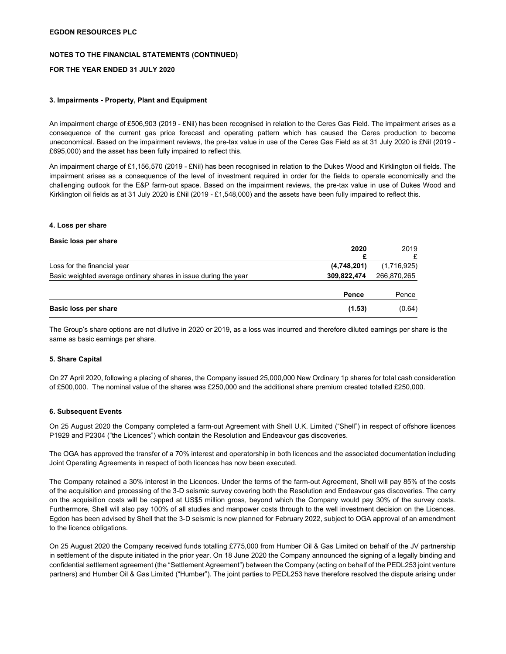# NOTES TO THE FINANCIAL STATEMENTS (CONTINUED)

# FOR THE YEAR ENDED 31 JULY 2020

### 3. Impairments - Property, Plant and Equipment

An impairment charge of £506,903 (2019 - £Nil) has been recognised in relation to the Ceres Gas Field. The impairment arises as a consequence of the current gas price forecast and operating pattern which has caused the Ceres production to become uneconomical. Based on the impairment reviews, the pre-tax value in use of the Ceres Gas Field as at 31 July 2020 is £Nil (2019 - £695,000) and the asset has been fully impaired to reflect this.

An impairment charge of £1,156,570 (2019 - £Nil) has been recognised in relation to the Dukes Wood and Kirklington oil fields. The impairment arises as a consequence of the level of investment required in order for the fields to operate economically and the challenging outlook for the E&P farm-out space. Based on the impairment reviews, the pre-tax value in use of Dukes Wood and Kirklington oil fields as at 31 July 2020 is £Nil (2019 - £1,548,000) and the assets have been fully impaired to reflect this.

#### 4. Loss per share

#### Basic loss per share

|                                                                 | 2020        | 2019        |
|-----------------------------------------------------------------|-------------|-------------|
| Loss for the financial year                                     | (4,748,201) | (1,716,925) |
| Basic weighted average ordinary shares in issue during the year | 309,822,474 | 266,870,265 |
|                                                                 | Pence       | Pence       |
| Basic loss per share                                            | (1.53)      | (0.64)      |

The Group's share options are not dilutive in 2020 or 2019, as a loss was incurred and therefore diluted earnings per share is the same as basic earnings per share.

#### 5. Share Capital

On 27 April 2020, following a placing of shares, the Company issued 25,000,000 New Ordinary 1p shares for total cash consideration of £500,000. The nominal value of the shares was £250,000 and the additional share premium created totalled £250,000.

#### 6. Subsequent Events

On 25 August 2020 the Company completed a farm-out Agreement with Shell U.K. Limited ("Shell") in respect of offshore licences P1929 and P2304 ("the Licences") which contain the Resolution and Endeavour gas discoveries.

The OGA has approved the transfer of a 70% interest and operatorship in both licences and the associated documentation including Joint Operating Agreements in respect of both licences has now been executed.

The Company retained a 30% interest in the Licences. Under the terms of the farm-out Agreement, Shell will pay 85% of the costs of the acquisition and processing of the 3-D seismic survey covering both the Resolution and Endeavour gas discoveries. The carry on the acquisition costs will be capped at US\$5 million gross, beyond which the Company would pay 30% of the survey costs. Furthermore, Shell will also pay 100% of all studies and manpower costs through to the well investment decision on the Licences. Egdon has been advised by Shell that the 3-D seismic is now planned for February 2022, subject to OGA approval of an amendment to the licence obligations.

On 25 August 2020 the Company received funds totalling £775,000 from Humber Oil & Gas Limited on behalf of the JV partnership in settlement of the dispute initiated in the prior year. On 18 June 2020 the Company announced the signing of a legally binding and confidential settlement agreement (the "Settlement Agreement") between the Company (acting on behalf of the PEDL253 joint venture partners) and Humber Oil & Gas Limited ("Humber"). The joint parties to PEDL253 have therefore resolved the dispute arising under